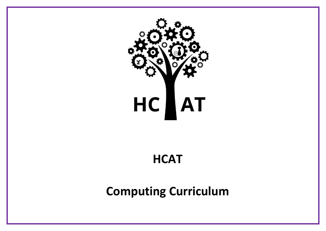

# **HCAT**

# **Computing Curriculum**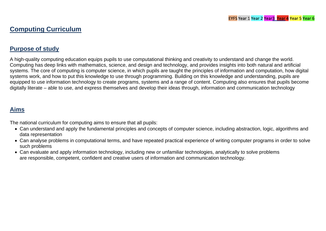# **Computing Curriculum**

## **Purpose of study**

A high-quality computing education equips pupils to use computational thinking and creativity to understand and change the world. Computing has deep links with mathematics, science, and design and technology, and provides insights into both natural and artificial systems. The core of computing is computer science, in which pupils are taught the principles of information and computation, how digital systems work, and how to put this knowledge to use through programming. Building on this knowledge and understanding, pupils are equipped to use information technology to create programs, systems and a range of content. Computing also ensures that pupils become digitally literate – able to use, and express themselves and develop their ideas through, information and communication technology

## **Aims**

The national curriculum for computing aims to ensure that all pupils:

- Can understand and apply the fundamental principles and concepts of computer science, including abstraction, logic, algorithms and data representation
- Can analyse problems in computational terms, and have repeated practical experience of writing computer programs in order to solve such problems
- Can evaluate and apply information technology, including new or unfamiliar technologies, analytically to solve problems are responsible, competent, confident and creative users of information and communication technology.

### EYFS Year 1 Year 2 Year<sub>3</sub> Year 4 Year 5 Year 6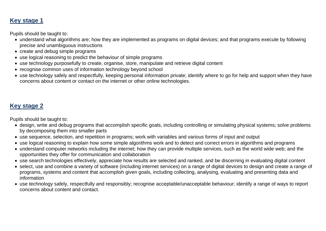# **Key stage 1**

Pupils should be taught to:

- understand what algorithms are; how they are implemented as programs on digital devices; and that programs execute by following precise and unambiguous instructions
- create and debug simple programs
- use logical reasoning to predict the behaviour of simple programs
- use technology purposefully to create, organise, store, manipulate and retrieve digital content
- recognise common uses of information technology beyond school
- use technology safely and respectfully, keeping personal information private; identify where to go for help and support when they have concerns about content or contact on the internet or other online technologies.

# **Key stage 2**

Pupils should be taught to:

- design, write and debug programs that accomplish specific goals, including controlling or simulating physical systems; solve problems by decomposing them into smaller parts
- use sequence, selection, and repetition in programs; work with variables and various forms of input and output
- use logical reasoning to explain how some simple algorithms work and to detect and correct errors in algorithms and programs
- understand computer networks including the internet; how they can provide multiple services, such as the world wide web; and the opportunities they offer for communication and collaboration
- use search technologies effectively, appreciate how results are selected and ranked, and be discerning in evaluating digital content
- select, use and combine a variety of software (including internet services) on a range of digital devices to design and create a range of programs, systems and content that accomplish given goals, including collecting, analysing, evaluating and presenting data and information
- use technology safely, respectfully and responsibly; recognise acceptable/unacceptable behaviour; identify a range of ways to report concerns about content and contact.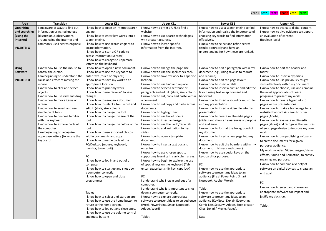| <b>Area</b>       | <b>Transition</b>                 | <b>Lower KS1</b>                       | <b>Upper KS1</b>                                    | <b>Lower KS2</b>                            | <b>Upper KS2</b>             |
|-------------------|-----------------------------------|----------------------------------------|-----------------------------------------------------|---------------------------------------------|------------------------------|
| Organising        | I am aware of ways to find out    | know how to open an internet search    | I know how to enter a URL to find a                 | I know how to use a search engine to find   | I know how to evaluate di    |
| and searching     | information using technology      | engine.                                | website.                                            | information and realise the importance of   | I know how to give evider    |
| (using the        | (discussion & observations        | I know how to enter key words into a   | I know how to use search technologies               | choosing key words to find information      | an evaluation of content.    |
| internet)         | around using the Internet and     | search engine.                         | with greater accuracy.                              | effectively.                                | (Boolean logic)              |
|                   | commonly used search engines)     | I know how to use search engines to    | I know how to locate specific                       | I know how to select and refine search      |                              |
| <b>INCERTS: G</b> |                                   | locate information.                    | information from the internet.                      | results accurately and have an              |                              |
|                   |                                   | I know how to scan a QR code to        |                                                     | understanding for how these are ranked.     |                              |
|                   |                                   | access information (Seesaw).           |                                                     |                                             |                              |
|                   |                                   | I know how to recognise uppercase      |                                                     |                                             |                              |
|                   |                                   | letters on the keyboard                |                                                     |                                             |                              |
| <b>Using</b>      | I know how to use the mouse to    | I know how to open a new document.     | I know how to change the page size.                 | I know how to edit a paragraph within my    | I know how to edit the he    |
| Software          | control the cursor.               | I know how to use the keyboard to      | I know how to use the spell check tool.             | document (e.g., using save as to redraft    | footer.                      |
|                   | I am beginning to understand the  | enter text (touch or physical).        | I know how to save my work to a specific            | and rename).                                | I know how to insert a hyp   |
| <b>INCERTS: D</b> | cause and effect of moving the    | I know how to save my work to an       | location.                                           | I know how to edit the page layout.         | I know how to use previor    |
|                   | mouse.                            | appropriate location.                  | I know how to use find and replace.                 | I know how to insert a table.               | skills effectively within my |
|                   | I know how to click and select    | I know how to print my work.           | I know how to select a sentence or                  | I know how to insert a picture and edit the | I know how to choose, us     |
|                   | objects.                          | I know how to use 'Save as' to save    | paragraph and edit it. (style, size, colour)        | layout using text wrap, forward and         | the most appropriate soft    |
|                   | I know how to use click and drag. | changes.                               | I know how to cut, copy and paste within            | backward.                                   | programs to present my v     |
|                   | I know how to move items on       | I know how to re-open a document.      | a document.                                         | I know how to insert a sound or music file  | I know how to create hype    |
|                   | screen.                           | I know how to select a font, word and  | I know how to cut copy and paste across             | into my presentation.                       | pages within presentation    |
|                   | I know how to select and use      | edit it. (style, size, colour).        | documents.                                          | I know how to insert a video file into my   | I know how to make a hor     |
|                   | simple paint tools.               | I know how to change the font.         | I know how to highlight text.                       | presentation.                               | website that contains link   |
|                   | I know how to become familiar     | I know how to change the size of the   | I know how to use bullet points.                    | I know how to create multimedia pages       | pages (Adobe)                |
|                   | with the keyboard.                | font.                                  | I know how to insert an image.                      | (slides) and show an awareness of purpose   | I know how to evaluate m     |
|                   | I know how to explore parts of    | I know how to change the colour of the | I know how to use the undo/redo tab.                | and audience.                               | pages (slides) and recogni   |
|                   | the computer.                     | font.                                  | I know how to add animation to my                   | I know how to format the background of      | of good page design to im    |
|                   | I am beginning to recognize       | I know how to use exported photos      | slides.                                             | my document.                                | work.                        |
|                   | uppercase letters (to access the  | within documents and apps.             | I know how to open a template                       | I know how to insert a new page into my     | I know how to use publish    |
|                   | keyboard).                        | I know how to name parts of the        | document.                                           | document.                                   | to create documents for a    |
|                   |                                   | PC/Desktop (mouse, keyboard,           | I know how to insert a text box and                 | I know how to edit the boarders within my   | purpose/ audience.           |
|                   |                                   | monitor, tower unit).                  | enter text.                                         | document (thickness and colour).            | My work includes: Video,     |
|                   |                                   |                                        | I know how to use chosen apps to                    | I know how to use special keys on the       | effects, Sound and Anima     |
|                   |                                   | $\underline{PC}$                       | support my learning in curriculum areas.            | keyboard for purpose.                       | meaning and purpose.         |
|                   |                                   | I know how to log in and out of a      | I know how to begin to explore the use              |                                             |                              |
|                   |                                   | computer.                              | of special keys on the keyboard (Tab,               | $\underline{PC}$                            | I know how to combine a      |
|                   |                                   | I know how to start up and shut down   | enter, space bar, shift key, caps lock)             | I know how to use the appropriate           | software on digital device   |
|                   |                                   | a computer correctly.                  |                                                     | software to present my ideas to an          | end goal.                    |
|                   |                                   | I know how to open and close           | PC                                                  | audience (Prezi, PowerPoint, Smart          |                              |
|                   |                                   | programmes.                            | I understand why I log in and out of a<br>computer. | Notebook, Adobe, Word).                     | PC                           |
|                   |                                   |                                        | I understand why it is important to shut            | Tablet                                      | I know how to select and     |
|                   |                                   | <b>Tablet</b>                          | down a computer correctly.                          | I know how to use the appropriate           | appropriate software for     |
|                   |                                   | I know how to select and start an app. | I know how to explore appropriate                   | software to present my ideas to an          | justify my decision.         |
|                   |                                   | I know how to use the home button to   | software to present ideas to an audience            | audience (KeyNote, Explain Everything,      |                              |
|                   |                                   | return to the home screen.             | (Prezi, PowerPoint, Smart Notebook,                 | Comic Life, SeeSaw, Adobe, Book creator,    | Tablet                       |
|                   |                                   | I know how to log out and close apps.  | Adobe, Word)                                        | Clips, Do ink/iMovie, Pages).               |                              |
|                   |                                   | I know how to use the volume control   |                                                     |                                             |                              |
|                   |                                   | and mute buttons.                      | <b>Tablet</b>                                       | Data                                        |                              |

Year 1 <mark>Year 2 <mark>Year3</mark> Year 4</mark> Year 5 Year 6

| <b>Lower KS2</b>                                                                                                                                                                                                                                                                                                                                                                                                                                                                                                                                                                                                                                                                                                                                                                                                                                                                                                                                                                                                                                                                                                                                                      | <b>Upper KS2</b>                                                                                                                                                                                                                                                                                                                                                                                                                                                                                                                                                                                                                                                                                                                                                                                                                                                                                                                                                                                                          |
|-----------------------------------------------------------------------------------------------------------------------------------------------------------------------------------------------------------------------------------------------------------------------------------------------------------------------------------------------------------------------------------------------------------------------------------------------------------------------------------------------------------------------------------------------------------------------------------------------------------------------------------------------------------------------------------------------------------------------------------------------------------------------------------------------------------------------------------------------------------------------------------------------------------------------------------------------------------------------------------------------------------------------------------------------------------------------------------------------------------------------------------------------------------------------|---------------------------------------------------------------------------------------------------------------------------------------------------------------------------------------------------------------------------------------------------------------------------------------------------------------------------------------------------------------------------------------------------------------------------------------------------------------------------------------------------------------------------------------------------------------------------------------------------------------------------------------------------------------------------------------------------------------------------------------------------------------------------------------------------------------------------------------------------------------------------------------------------------------------------------------------------------------------------------------------------------------------------|
| I know how to use a search engine to find<br>information and realise the importance of<br>choosing key words to find information<br>effectively.<br>I know how to select and refine search<br>results accurately and have an<br>understanding for how these are ranked.                                                                                                                                                                                                                                                                                                                                                                                                                                                                                                                                                                                                                                                                                                                                                                                                                                                                                               | I know how to evaluate digital content.<br>I know how to give evidence to support<br>an evaluation of content.<br>(Boolean logic)                                                                                                                                                                                                                                                                                                                                                                                                                                                                                                                                                                                                                                                                                                                                                                                                                                                                                         |
| I know how to edit a paragraph within my<br>document (e.g., using save as to redraft<br>and rename).<br>I know how to edit the page layout.<br>I know how to insert a table.<br>I know how to insert a picture and edit the<br>layout using text wrap, forward and<br>backward.<br>I know how to insert a sound or music file<br>into my presentation.<br>I know how to insert a video file into my<br>presentation.<br>I know how to create multimedia pages<br>(slides) and show an awareness of purpose<br>and audience.<br>I know how to format the background of<br>my document.<br>I know how to insert a new page into my<br>document.<br>I know how to edit the boarders within my<br>document (thickness and colour).<br>I know how to use special keys on the<br>keyboard for purpose.<br><u>РС</u><br>I know how to use the appropriate<br>software to present my ideas to an<br>audience (Prezi, PowerPoint, Smart<br>Notebook, Adobe, Word).<br>Tablet<br>I know how to use the appropriate<br>software to present my ideas to an<br>audience (KeyNote, Explain Everything,<br>Comic Life, SeeSaw, Adobe, Book creator,<br>Clips, Do ink/iMovie, Pages). | I know how to edit the header and<br>footer.<br>I know how to insert a hyperlink.<br>I know how to use previously taught<br>skills effectively within my document.<br>I know how to choose, use and combine<br>the most appropriate software<br>programs to present my work.<br>I know how to create hyperlinks to<br>pages within presentations.<br>I know how to make a homepage for a<br>website that contains links to other<br>pages (Adobe)<br>I know how to evaluate multimedia<br>pages (slides) and recognise the features<br>of good page design to improve my own<br>work.<br>I know how to use publishing software<br>to create documents for a given<br>purpose/ audience.<br>My work includes: Video, Images, Visual<br>effects, Sound and Animation, to convey<br>meaning and purpose.<br>I know how to combine a variety of<br>software on digital devices to create an<br>end goal.<br>PC<br>I know how to select and choose an<br>appropriate software for impact and<br>justify my decision.<br>Tablet |
| Data                                                                                                                                                                                                                                                                                                                                                                                                                                                                                                                                                                                                                                                                                                                                                                                                                                                                                                                                                                                                                                                                                                                                                                  |                                                                                                                                                                                                                                                                                                                                                                                                                                                                                                                                                                                                                                                                                                                                                                                                                                                                                                                                                                                                                           |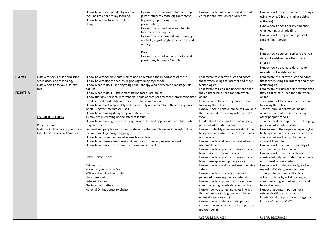|                   |                                                                                            | I know how to independently access<br>the iPads to enhance my learning.<br>I know how to return the tablet to<br>charge.                                                                                                                                                                                                                                                                             | I know how to use more than one app<br>purposefully to create digital content<br>(eg, using a pic collage into a<br>presentation).<br>I know how to use the search tool to<br>locate and open apps.<br>I know how to access settings: turning<br>on Wi-Fi, adjust brightness, airdrop and<br>airplay.<br>Data<br>I know how to collect information and<br>present my findings (2 simple) | I know how to collect and sort data and<br>enter it onto Excel or/and Numbers.                                                                                                                                                                                                                                                                                                                                        | I know how to edit my video recordings<br>using iMovie, Clips (or similar editing<br>software)<br>I know how to consider my audience<br>when editing a simple film.<br>I know how to prepare and present a<br>simple film (iMovie).<br>Data<br>I know how to collect, sort and analyse<br>data in Excel/Numbers that I have<br>created.<br>I know how to evaluate data I have<br>recorded in Excel/Numbers.                                            |
|-------------------|--------------------------------------------------------------------------------------------|------------------------------------------------------------------------------------------------------------------------------------------------------------------------------------------------------------------------------------------------------------------------------------------------------------------------------------------------------------------------------------------------------|------------------------------------------------------------------------------------------------------------------------------------------------------------------------------------------------------------------------------------------------------------------------------------------------------------------------------------------------------------------------------------------|-----------------------------------------------------------------------------------------------------------------------------------------------------------------------------------------------------------------------------------------------------------------------------------------------------------------------------------------------------------------------------------------------------------------------|--------------------------------------------------------------------------------------------------------------------------------------------------------------------------------------------------------------------------------------------------------------------------------------------------------------------------------------------------------------------------------------------------------------------------------------------------------|
| <b>E-Safety</b>   | know to seek adult permission<br>when accessing technology.<br>know how to follow e-safety | I know how to follow e-safety rules and understand the importance of these.<br>I know how to use the search engines agreed by my school.<br>I know what to do if I see anything I am unhappy with or receive a message I do                                                                                                                                                                          |                                                                                                                                                                                                                                                                                                                                                                                          | I am aware of e-safety rules and adopt<br>these when using the internet and other<br>technologies.                                                                                                                                                                                                                                                                                                                    | I am aware of e-safety rules and adopt<br>these when using the internet and other<br>technologies.                                                                                                                                                                                                                                                                                                                                                     |
| <b>INCERTS: R</b> | rules.                                                                                     | not like.<br>I know what to do if I find something inappropriate online.<br>could be used to identify me) should not be shared online.<br>when using the internet or iPads.<br>I know how to navigate age appropriate websites.                                                                                                                                                                      | I know that any personal information (home address or any other information that<br>I know how to act responsibly and respectfully and understand the consequences                                                                                                                                                                                                                       | I am aware of rules and understand that<br>they exist to help keep me safe when<br>online.<br>I am aware of the consequences of not<br>following the rules.<br>I know I should behave online as I would in<br>the real world: respecting other people's                                                                                                                                                               | I am aware of rules and understand that<br>they exist to help keep me safe when<br>online.<br>I am aware of the consequences of not<br>following the rules.<br>I know I should behave online as I<br>would in the real world: respecting                                                                                                                                                                                                               |
|                   | <b>USEFUL RESOURCES</b>                                                                    | I know not everything on the internet is true.                                                                                                                                                                                                                                                                                                                                                       | I know how to recognise advertising on websites and appropriately evaluate when                                                                                                                                                                                                                                                                                                          | views.<br>I understand the importance of keeping                                                                                                                                                                                                                                                                                                                                                                      | other people's views.<br>I understand the importance of keeping                                                                                                                                                                                                                                                                                                                                                                                        |
|                   | Penguin book<br>National Online Safety (website -<br><b>EYFS Lesson Plans and Bundle)</b>  | to ignore this.<br>I understand people can communicate with other people online (through online<br>forums, email, gaming, blogging).<br>I know how to send and receive emails as a class.<br>I know how to use a username and password to use any secure network.<br>I know how to use the internet with care and respect<br><b>USEFUL RESOURCES</b><br>Childnet.com<br>My activity passport $-$ Dfe |                                                                                                                                                                                                                                                                                                                                                                                          | personal information private.<br>I know to identify when emails should not<br>be opened and when an attachment may<br>not be safe.<br>I know how to and demonstrate when to<br>use emails safely.<br>I know how to explain and demonstrate<br>how to use the internet safely.<br>I know how to explain and demonstrate<br>how to use apps and gaming safely.<br>I know how to use different search engines<br>safely. | personal information private.<br>I am aware of the negative impact cyber<br>bullying can have on its victims and am<br>aware of where I can go for help and<br>advice if I need to.<br>I know how to explore the validity of<br>information on the internet.<br>I know how to make sensible and<br>considered judgments about whether or<br>not to trust online content<br>I know how to independently, and with<br>regard to E-Safety, select and use |
|                   |                                                                                            | NOS - National online safety<br>bbc.com/ownit<br>net-aware.co.uk<br>The internet matters<br>National Online Safety (website)                                                                                                                                                                                                                                                                         |                                                                                                                                                                                                                                                                                                                                                                                          | I know how to use a username and<br>password to use any secure network.<br>I know how to explore the difference in<br>communicating face-to-face and online.<br>I know how to use technologies in ways<br>that minimize risk (e.g. responsible use of<br>online discussions etc.).<br>I know how to understand the phrase<br>screen time and can discuss its impact on<br>my well-being.<br>USEFUL RESOURCES          | appropriate communication tools to<br>solve problems by collaborating and<br>communicating with others, with and<br>beyond school.<br>I know that content put online is<br>extremely difficult to remove.<br>I understand the positive and negative<br>impact of the use of ICT.<br>USEFUL RESOURCES                                                                                                                                                   |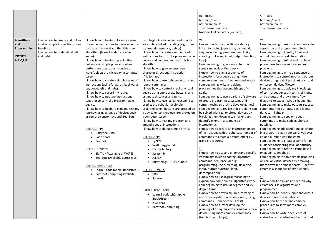|                                                                         |                                                                                                                                   |                                                                                                                                                                                                                                                                                                                                                                                                                                                                                                                                                                                                                                                                                                                                                                                                                                                                                                                                                                                                                |                                                                                                                                                                                                                                                                                                                                                                                                                                                                                                                                                                                                                                                                                                                                                                                                                                                                                                                                                                                                                                                                                                                                                                          | <b>INTERLAND</b><br>bbc.com/ownit<br>net-aware.co.uk<br>The internet matters<br>National Online Safety (website)                                                                                                                                                                                                                                                                                                                                                                                                                                                                                                                                                                                                                                                                                                                                                                                                                                                                                                                                                                                                                                                                                                                                                                                                                                                                                                                                                                                                                                                                                                                                                                              | <b>SRE links</b><br>bbc.com/ownit<br>net-aware.co.uk<br>The internet matters                                                                                                                                                                                                                                                                                                                                                                                                                                                                                                                                                                                                                                                                                                                                                                                                                                                                                                                                                                                                                                                                                                                                                                                                                                                                                                                                                                                                                                                                                                      |
|-------------------------------------------------------------------------|-----------------------------------------------------------------------------------------------------------------------------------|----------------------------------------------------------------------------------------------------------------------------------------------------------------------------------------------------------------------------------------------------------------------------------------------------------------------------------------------------------------------------------------------------------------------------------------------------------------------------------------------------------------------------------------------------------------------------------------------------------------------------------------------------------------------------------------------------------------------------------------------------------------------------------------------------------------------------------------------------------------------------------------------------------------------------------------------------------------------------------------------------------------|--------------------------------------------------------------------------------------------------------------------------------------------------------------------------------------------------------------------------------------------------------------------------------------------------------------------------------------------------------------------------------------------------------------------------------------------------------------------------------------------------------------------------------------------------------------------------------------------------------------------------------------------------------------------------------------------------------------------------------------------------------------------------------------------------------------------------------------------------------------------------------------------------------------------------------------------------------------------------------------------------------------------------------------------------------------------------------------------------------------------------------------------------------------------------|-----------------------------------------------------------------------------------------------------------------------------------------------------------------------------------------------------------------------------------------------------------------------------------------------------------------------------------------------------------------------------------------------------------------------------------------------------------------------------------------------------------------------------------------------------------------------------------------------------------------------------------------------------------------------------------------------------------------------------------------------------------------------------------------------------------------------------------------------------------------------------------------------------------------------------------------------------------------------------------------------------------------------------------------------------------------------------------------------------------------------------------------------------------------------------------------------------------------------------------------------------------------------------------------------------------------------------------------------------------------------------------------------------------------------------------------------------------------------------------------------------------------------------------------------------------------------------------------------------------------------------------------------------------------------------------------------|-----------------------------------------------------------------------------------------------------------------------------------------------------------------------------------------------------------------------------------------------------------------------------------------------------------------------------------------------------------------------------------------------------------------------------------------------------------------------------------------------------------------------------------------------------------------------------------------------------------------------------------------------------------------------------------------------------------------------------------------------------------------------------------------------------------------------------------------------------------------------------------------------------------------------------------------------------------------------------------------------------------------------------------------------------------------------------------------------------------------------------------------------------------------------------------------------------------------------------------------------------------------------------------------------------------------------------------------------------------------------------------------------------------------------------------------------------------------------------------------------------------------------------------------------------------------------------------|
| <b>Algorithms</b><br>and<br>Programming<br><b>INCERTS:</b><br>A,B,C,E,F | I know how to create and follow<br>a set of simple instructions using<br>Bee-Bots.<br>I know how to understand left<br>and right. | I know how to begin to follow a series<br>of simple instructions to move around a<br>course and understand that this is an<br>algorithm. (learn 2 code 1- teacher<br>guide).<br>I know how to begin to predict the<br>behavior of simple programs when<br>buttons are pressed on a device or<br>icons/objects are clicked on a computer<br>screen.<br>I know how to create a simple series of<br>instructions (using forwards, backwards,<br>up, down, left and right).<br>I know how to record my route.<br>I know how to put two instructions<br>together to control a programmable<br>device.<br>I know how to begin to plan and test my<br>journey, using a range of devices such<br>as remote-control toys and Bee-Bots.<br><b>USEFUL APPS</b><br>• Daisy the Dino<br>Code Spark<br>Bee-Bot<br><b>USEFUL DEVICES</b><br>Big Trak (Available at WCPS)<br>Bee-Bots (Available across trust)<br><b>USEFUL RESOURCES</b><br>Learn 2 code (apple iBook/free!)<br><b>Barefoot Computing (website-</b><br>free!) | I am beginning to understand specific<br>vocabulary linked to coding (algorithm,<br>command, sequence, debug)<br>I know how to create a sequence of<br>instructions to control a programmable<br>device and I understand that this is an<br>algorithm.<br>I know how to give an onscreen<br>character directional instruction<br>$(A.L.E.X-app)$<br>I know how to use right angle turns and<br>repeat commands.<br>I know how to control a real or virtual<br>device using appropriate buttons, and<br>estimate distances and turns.<br>I know how to use logical reasoning to<br>predict the behavior of simple<br>programs when buttons are pressed on<br>a device or icons/objects are clicked on<br>a computer screen.<br>I know how to test my program and<br>amend a set of instructions.<br>I know how to debug simple errors.<br><b>USEFUL APPS</b><br>Tynker<br>٠<br>Swift Playground<br>Fix the factory<br>Scratch Jr<br>A.L.E.X<br>$\bullet$<br>Busy things - Busy bundle<br><b>USEFUL DEVICES</b><br>BB8<br>$\bullet$<br>Sphero<br><b>USEFUL RESOURCES</b><br>Learn 2 code 1&2 (apple<br>iBook/free!)<br>2 Go (PC)<br>$\bullet$<br><b>Barefoot Computing</b> | Y3<br>I know how to use specific vocabulary<br>linked to coding (algorithm, command,<br>sequence, debug, programming, logic,<br>creating, tinkering, input, output, function,<br>loop)<br>I am beginning to give reason for how<br>some simple algorithms work.<br>I know how to plan a sequence of<br>instructions for a device using more<br>complex commands (functions and loops).<br>I am beginning write and debug<br>programmes that accomplish specific<br>goals.<br>I am beginning to use a variety of software<br>to create programmes, systems and<br>content (using scratch to develop games)<br>I am beginning to realise that problems can<br>be solved with real or virtual devices by<br>breaking them down in to smaller parts.<br>(identify errors in a sequence of<br>instructions).<br>I know how to create an instruction or set<br>of instructions with the shortest number of $\parallel$ in a program e.g. if your car drives over<br>commands to create a desired effect by<br>using procedures.<br><u>Y4</u><br>I know how to use and understand specific<br>vocabulary linked to coding (algorithm,<br>command, sequence, debug,<br>programming, logic, creating, tinkering,<br>input, output, function, loop,<br>decomposition)<br>I know how to use logical reasoning to<br>explain how some simple algorithms work.<br>I am beginning to use 90 degrees and 45<br>degree turns.<br>I know how to draw a squares, rectangles<br>and other regular shapes on screen, using<br>commands (Hour of code-Artist)<br>I know how to further develop the<br>planning of a sequence of instructions for a<br>device using more complex commands<br>(functions and loops). | Y5<br>I am beginning to reason about errors in<br>algorithms and programmes (Swift)<br>I am beginning to identify input and<br>output devices in real life situations.<br>I am beginning to refine and combine<br>procedures to solve more complex<br>problems.<br>I am beginning to write a sequence of<br>instructions to control input and output<br>devices using real (if possible) or virtual<br>on-screen devices (Flowol)<br>I am beginning to apply my knowledge<br>of control sequences in terms of inputs<br>and outputs and draw simple flow<br>diagrams to explain what is happening.<br>I am beginning to make outputs react to<br>conditions met by inputs e.g. if it gets<br>dark, turn lights on.<br>I am beginning to copy or repeat<br>commands to make code as short as<br>possible.<br>I am beginning add conditions to events<br>an odd number, end the game<br>I am beginning to create a game for an<br>audience considering level of difficulty.<br>I am beginning to refine a game based<br>on audience feedback.<br>I am beginning to solve simple problems<br>on real or virtual devices by breaking<br>them down in to smaller parts. (identify<br>errors in a sequence of instructions).<br><u>Y6</u><br>I know how to explain and reason why<br>errors occur in algorithms and<br>programmes.<br>I know how to identify input and output<br>devices in real life situations.<br>I know how to refine and combine<br>procedures to solve more complex<br>problems.<br>I know how to write a sequence of<br>instructions to control input and output |